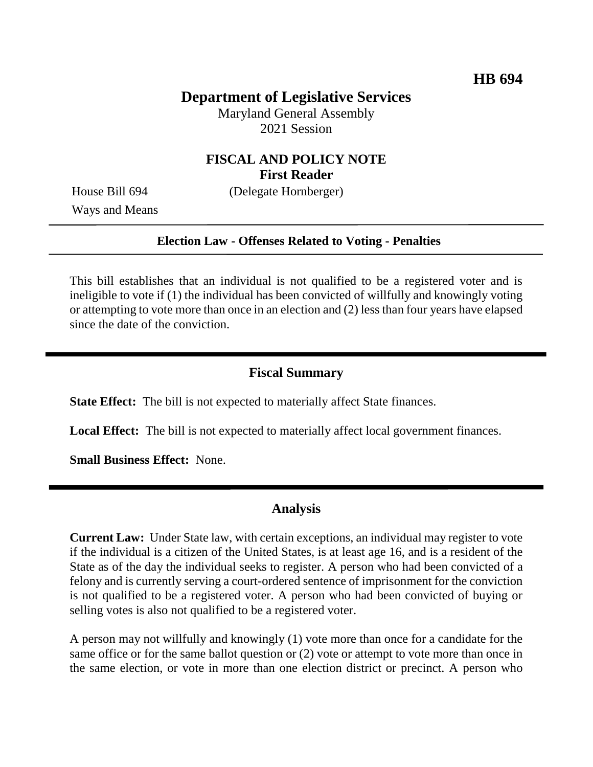# **Department of Legislative Services**

Maryland General Assembly 2021 Session

## **FISCAL AND POLICY NOTE First Reader**

House Bill 694 (Delegate Hornberger)

Ways and Means

#### **Election Law - Offenses Related to Voting - Penalties**

This bill establishes that an individual is not qualified to be a registered voter and is ineligible to vote if (1) the individual has been convicted of willfully and knowingly voting or attempting to vote more than once in an election and (2) less than four years have elapsed since the date of the conviction.

### **Fiscal Summary**

**State Effect:** The bill is not expected to materially affect State finances.

**Local Effect:** The bill is not expected to materially affect local government finances.

**Small Business Effect:** None.

### **Analysis**

**Current Law:** Under State law, with certain exceptions, an individual may register to vote if the individual is a citizen of the United States, is at least age 16, and is a resident of the State as of the day the individual seeks to register. A person who had been convicted of a felony and is currently serving a court-ordered sentence of imprisonment for the conviction is not qualified to be a registered voter. A person who had been convicted of buying or selling votes is also not qualified to be a registered voter.

A person may not willfully and knowingly (1) vote more than once for a candidate for the same office or for the same ballot question or (2) vote or attempt to vote more than once in the same election, or vote in more than one election district or precinct. A person who